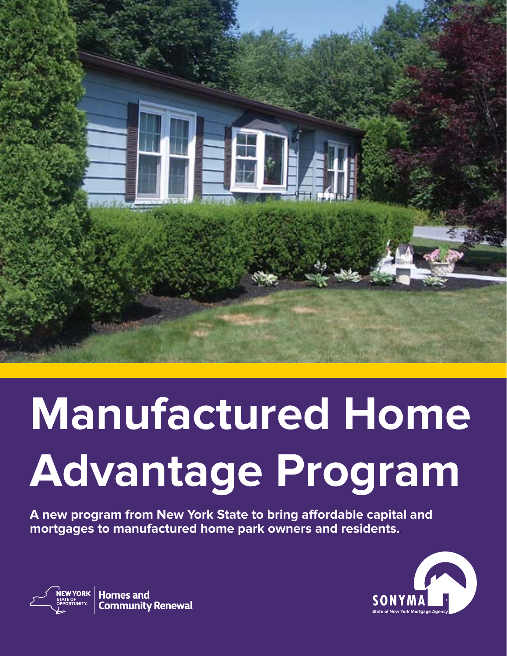

## **Manufactured Home Advantage Program**

**A new program from New York State to bring affordable capital and mortgages to manufactured home park owners and residents.**.



**EW YORK Homes and Community Renewal**